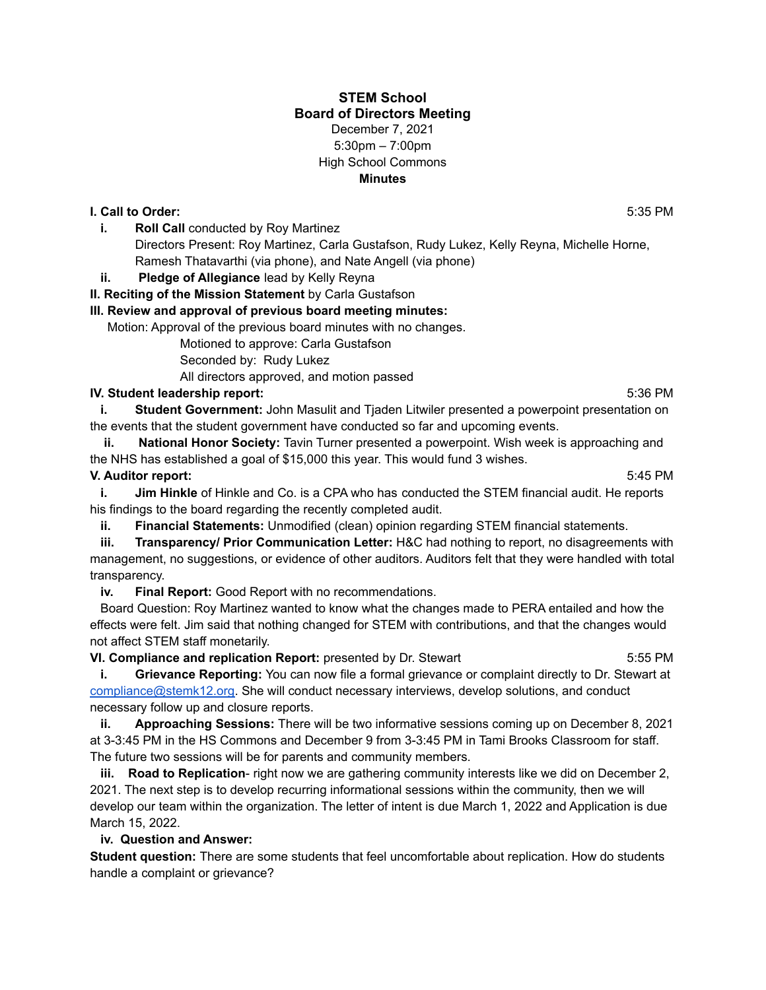## **STEM School Board of Directors Meeting** December 7, 2021 5:30pm – 7:00pm High School Commons **Minutes**

#### **I. Call to Order:** 5:35 PM

- **i. Roll Call** conducted by Roy Martinez Directors Present: Roy Martinez, Carla Gustafson, Rudy Lukez, Kelly Reyna, Michelle Horne, Ramesh Thatavarthi (via phone), and Nate Angell (via phone)
- **ii. Pledge of Allegiance** lead by Kelly Reyna

#### **II. Reciting of the Mission Statement** by Carla Gustafson

#### **III. Review and approval of previous board meeting minutes:**

Motion: Approval of the previous board minutes with no changes.

Motioned to approve: Carla Gustafson

Seconded by: Rudy Lukez

All directors approved, and motion passed

#### **IV. Student leadership report:** 5:36 PM

**i. Student Government:** John Masulit and Tjaden Litwiler presented a powerpoint presentation on the events that the student government have conducted so far and upcoming events.

**ii. National Honor Society:** Tavin Turner presented a powerpoint. Wish week is approaching and the NHS has established a goal of \$15,000 this year. This would fund 3 wishes.

#### **V. Auditor report:** 5:45 PM

**i. Jim Hinkle** of Hinkle and Co. is a CPA who has conducted the STEM financial audit. He reports his findings to the board regarding the recently completed audit.

**ii. Financial Statements:** Unmodified (clean) opinion regarding STEM financial statements.

**iii. Transparency/ Prior Communication Letter:** H&C had nothing to report, no disagreements with management, no suggestions, or evidence of other auditors. Auditors felt that they were handled with total transparency.

**iv. Final Report:** Good Report with no recommendations.

Board Question: Roy Martinez wanted to know what the changes made to PERA entailed and how the effects were felt. Jim said that nothing changed for STEM with contributions, and that the changes would not affect STEM staff monetarily.

**VI. Compliance and replication Report:** presented by Dr. Stewart 5:55 PM

**i. Grievance Reporting:** You can now file a formal grievance or complaint directly to Dr. Stewart at [compliance@stemk12.org.](mailto:compliance@stemk12.org) She will conduct necessary interviews, develop solutions, and conduct necessary follow up and closure reports.

**ii. Approaching Sessions:** There will be two informative sessions coming up on December 8, 2021 at 3-3:45 PM in the HS Commons and December 9 from 3-3:45 PM in Tami Brooks Classroom for staff. The future two sessions will be for parents and community members.

**iii. Road to Replication**- right now we are gathering community interests like we did on December 2, 2021. The next step is to develop recurring informational sessions within the community, then we will develop our team within the organization. The letter of intent is due March 1, 2022 and Application is due March 15, 2022.

## **iv. Question and Answer:**

**Student question:** There are some students that feel uncomfortable about replication. How do students handle a complaint or grievance?